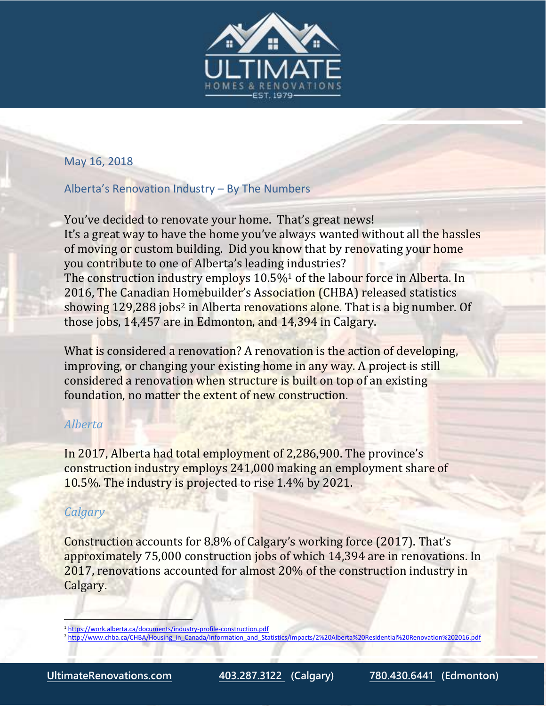

#### May 16, 2018

# Alberta's Renovation Industry – By The Numbers

You've decided to renovate your home. That's great news! It's a great way to have the home you've always wanted without all the hassles of moving or custom building. Did you know that by renovating your home you contribute to one of Alberta's leading industries? The construction industry employs 10.5%<sup>1</sup> of the labour force in Alberta. In 2016, The Canadian Homebuilder's Association (CHBA) released statistics showing 129,288 jobs<sup>2</sup> in Alberta renovations alone. That is a big number. Of those jobs, 14,457 are in Edmonton, and 14,394 in Calgary.

What is considered a renovation? A renovation is the action of developing, improving, or changing your existing home in any way. A project is still considered a renovation when structure is built on top of an existing foundation, no matter the extent of new construction.

# *Alberta*

In 2017, Alberta had total employment of 2,286,900. The province's construction industry employs 241,000 making an employment share of 10.5%. The industry is projected to rise 1.4% by 2021.

# *Calgary*

 $\overline{\phantom{a}}$ 

Construction accounts for 8.8% of Calgary's working force (2017). That's approximately 75,000 construction jobs of which 14,394 are in renovations. In 2017, renovations accounted for almost 20% of the construction industry in Calgary.

<sup>1</sup> <https://work.alberta.ca/documents/industry-profile-construction.pdf>

<sup>&</sup>lt;sup>2</sup> [http://www.chba.ca/CHBA/Housing\\_in\\_Canada/Information\\_and\\_Statistics/impacts/2%20Alberta%20Residential%20Renovation%202016.pdf](http://www.chba.ca/CHBA/Housing_in_Canada/Information_and_Statistics/impacts/2%20Alberta%20Residential%20Renovation%202016.pdf)